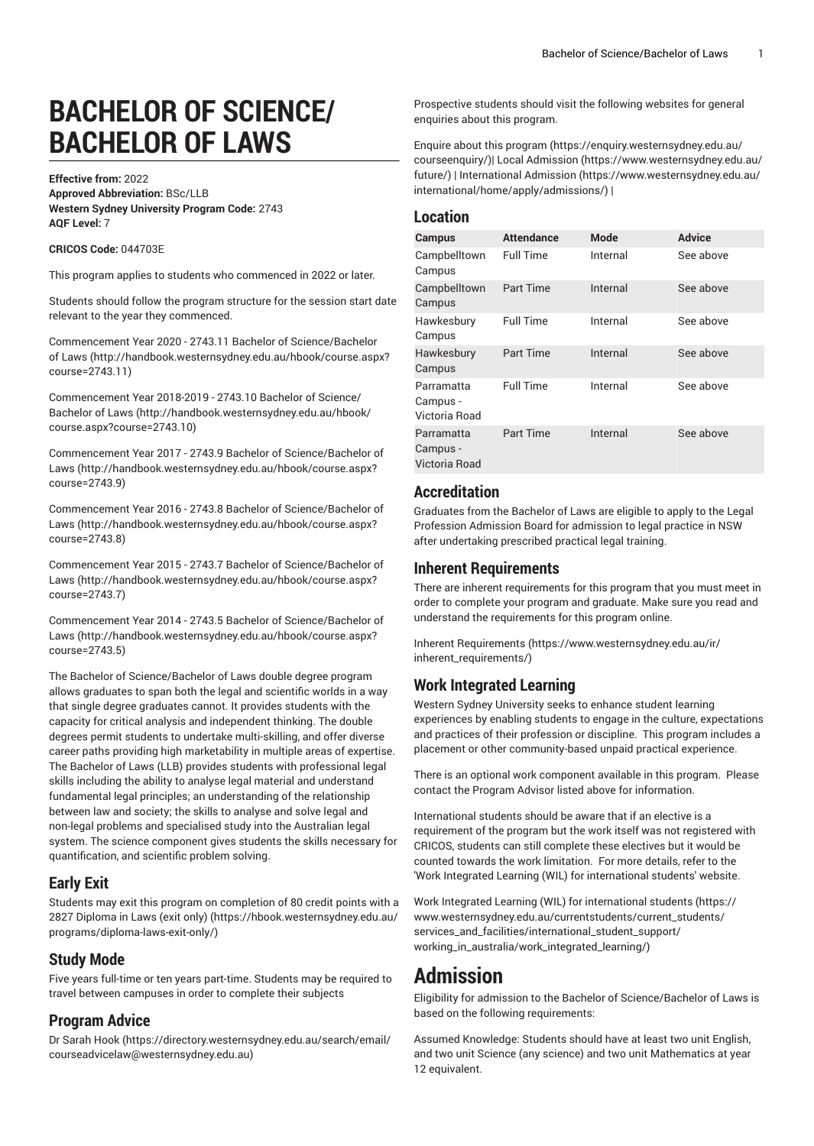# **BACHELOR OF SCIENCE/ BACHELOR OF LAWS**

**Effective from:** 2022 **Approved Abbreviation:** BSc/LLB **Western Sydney University Program Code:** 2743 **AQF Level:** 7

#### **CRICOS Code:** 044703E

This program applies to students who commenced in 2022 or later.

Students should follow the program structure for the session start date relevant to the year they commenced.

Commencement Year 2020 - 2743.11 Bachelor of [Science/Bachelor](http://handbook.westernsydney.edu.au/hbook/course.aspx?course=2743.11) [of Laws](http://handbook.westernsydney.edu.au/hbook/course.aspx?course=2743.11) ([http://handbook.westernsydney.edu.au/hbook/course.aspx?](http://handbook.westernsydney.edu.au/hbook/course.aspx?course=2743.11) [course=2743.11](http://handbook.westernsydney.edu.au/hbook/course.aspx?course=2743.11))

[Commencement](http://handbook.westernsydney.edu.au/hbook/course.aspx?course=2743.10) Year 2018-2019 - 2743.10 Bachelor of Science/ [Bachelor of Laws](http://handbook.westernsydney.edu.au/hbook/course.aspx?course=2743.10) ([http://handbook.westernsydney.edu.au/hbook/](http://handbook.westernsydney.edu.au/hbook/course.aspx?course=2743.10) [course.aspx?course=2743.10\)](http://handbook.westernsydney.edu.au/hbook/course.aspx?course=2743.10)

Commencement Year 2017 - 2743.9 Bachelor of [Science/Bachelor](http://handbook.westernsydney.edu.au/hbook/course.aspx?course=2743.9) of [Laws](http://handbook.westernsydney.edu.au/hbook/course.aspx?course=2743.9) ([http://handbook.westernsydney.edu.au/hbook/course.aspx?](http://handbook.westernsydney.edu.au/hbook/course.aspx?course=2743.9) [course=2743.9\)](http://handbook.westernsydney.edu.au/hbook/course.aspx?course=2743.9)

Commencement Year 2016 - 2743.8 Bachelor of [Science/Bachelor](http://handbook.westernsydney.edu.au/hbook/course.aspx?course=2743.8) of [Laws](http://handbook.westernsydney.edu.au/hbook/course.aspx?course=2743.8) ([http://handbook.westernsydney.edu.au/hbook/course.aspx?](http://handbook.westernsydney.edu.au/hbook/course.aspx?course=2743.8) [course=2743.8\)](http://handbook.westernsydney.edu.au/hbook/course.aspx?course=2743.8)

Commencement Year 2015 - 2743.7 Bachelor of [Science/Bachelor](http://handbook.westernsydney.edu.au/hbook/course.aspx?course=2743.7) of [Laws](http://handbook.westernsydney.edu.au/hbook/course.aspx?course=2743.7) ([http://handbook.westernsydney.edu.au/hbook/course.aspx?](http://handbook.westernsydney.edu.au/hbook/course.aspx?course=2743.7) [course=2743.7\)](http://handbook.westernsydney.edu.au/hbook/course.aspx?course=2743.7)

Commencement Year 2014 - 2743.5 Bachelor of [Science/Bachelor](http://handbook.westernsydney.edu.au/hbook/course.aspx?course=2743.5) of [Laws](http://handbook.westernsydney.edu.au/hbook/course.aspx?course=2743.5) ([http://handbook.westernsydney.edu.au/hbook/course.aspx?](http://handbook.westernsydney.edu.au/hbook/course.aspx?course=2743.5) [course=2743.5\)](http://handbook.westernsydney.edu.au/hbook/course.aspx?course=2743.5)

The Bachelor of Science/Bachelor of Laws double degree program allows graduates to span both the legal and scientific worlds in a way that single degree graduates cannot. It provides students with the capacity for critical analysis and independent thinking. The double degrees permit students to undertake multi-skilling, and offer diverse career paths providing high marketability in multiple areas of expertise. The Bachelor of Laws (LLB) provides students with professional legal skills including the ability to analyse legal material and understand fundamental legal principles; an understanding of the relationship between law and society; the skills to analyse and solve legal and non-legal problems and specialised study into the Australian legal system. The science component gives students the skills necessary for quantification, and scientific problem solving.

# **Early Exit**

Students may exit this program on completion of 80 credit points with a [2827 Diploma in Laws \(exit only\) \(https://hbook.westernsydney.edu.au/](https://hbook.westernsydney.edu.au/programs/diploma-laws-exit-only/) [programs/diploma-laws-exit-only/\)](https://hbook.westernsydney.edu.au/programs/diploma-laws-exit-only/)

### **Study Mode**

Five years full-time or ten years part-time. Students may be required to travel between campuses in order to complete their subjects

### **Program Advice**

[Dr Sarah Hook](https://directory.westernsydney.edu.au/search/email/courseadvicelaw@westernsydney.edu.au) ([https://directory.westernsydney.edu.au/search/email/](https://directory.westernsydney.edu.au/search/email/courseadvicelaw@westernsydney.edu.au) [courseadvicelaw@westernsydney.edu.au\)](https://directory.westernsydney.edu.au/search/email/courseadvicelaw@westernsydney.edu.au)

Prospective students should visit the following websites for general enquiries about this program.

Enquire about this [program](https://enquiry.westernsydney.edu.au/courseenquiry/) ([https://enquiry.westernsydney.edu.au/](https://enquiry.westernsydney.edu.au/courseenquiry/) [courseenquiry/\)](https://enquiry.westernsydney.edu.au/courseenquiry/)| [Local Admission](https://www.westernsydney.edu.au/future/) ([https://www.westernsydney.edu.au/](https://www.westernsydney.edu.au/future/) [future/](https://www.westernsydney.edu.au/future/)) | [International Admission \(https://www.westernsydney.edu.au/](https://www.westernsydney.edu.au/international/home/apply/admissions/) [international/home/apply/admissions/](https://www.westernsydney.edu.au/international/home/apply/admissions/)) |

### **Location**

| <b>Campus</b>                           | <b>Attendance</b> | <b>Mode</b> | <b>Advice</b> |
|-----------------------------------------|-------------------|-------------|---------------|
| Campbelltown<br>Campus                  | <b>Full Time</b>  | Internal    | See above     |
| Campbelltown<br>Campus                  | Part Time         | Internal    | See above     |
| Hawkesbury<br>Campus                    | <b>Full Time</b>  | Internal    | See above     |
| Hawkesbury<br>Campus                    | Part Time         | Internal    | See above     |
| Parramatta<br>Campus -<br>Victoria Road | <b>Full Time</b>  | Internal    | See above     |
| Parramatta<br>Campus -<br>Victoria Road | Part Time         | Internal    | See above     |

# **Accreditation**

Graduates from the Bachelor of Laws are eligible to apply to the Legal Profession Admission Board for admission to legal practice in NSW after undertaking prescribed practical legal training.

### **Inherent Requirements**

There are inherent requirements for this program that you must meet in order to complete your program and graduate. Make sure you read and understand the requirements for this program online.

Inherent [Requirements](https://www.westernsydney.edu.au/ir/inherent_requirements/) ([https://www.westernsydney.edu.au/ir/](https://www.westernsydney.edu.au/ir/inherent_requirements/) [inherent\\_requirements/](https://www.westernsydney.edu.au/ir/inherent_requirements/))

# **Work Integrated Learning**

Western Sydney University seeks to enhance student learning experiences by enabling students to engage in the culture, expectations and practices of their profession or discipline. This program includes a placement or other community-based unpaid practical experience.

There is an optional work component available in this program. Please contact the Program Advisor listed above for information.

International students should be aware that if an elective is a requirement of the program but the work itself was not registered with CRICOS, students can still complete these electives but it would be counted towards the work limitation. For more details, refer to the 'Work Integrated Learning (WIL) for international students' website.

Work Integrated Learning (WIL) for [international](https://www.westernsydney.edu.au/currentstudents/current_students/services_and_facilities/international_student_support/working_in_australia/work_integrated_learning/) students ([https://](https://www.westernsydney.edu.au/currentstudents/current_students/services_and_facilities/international_student_support/working_in_australia/work_integrated_learning/) [www.westernsydney.edu.au/currentstudents/current\\_students/](https://www.westernsydney.edu.au/currentstudents/current_students/services_and_facilities/international_student_support/working_in_australia/work_integrated_learning/) [services\\_and\\_facilities/international\\_student\\_support/](https://www.westernsydney.edu.au/currentstudents/current_students/services_and_facilities/international_student_support/working_in_australia/work_integrated_learning/) [working\\_in\\_australia/work\\_integrated\\_learning/](https://www.westernsydney.edu.au/currentstudents/current_students/services_and_facilities/international_student_support/working_in_australia/work_integrated_learning/))

# **Admission**

Eligibility for admission to the Bachelor of Science/Bachelor of Laws is based on the following requirements:

Assumed Knowledge: Students should have at least two unit English, and two unit Science (any science) and two unit Mathematics at year 12 equivalent.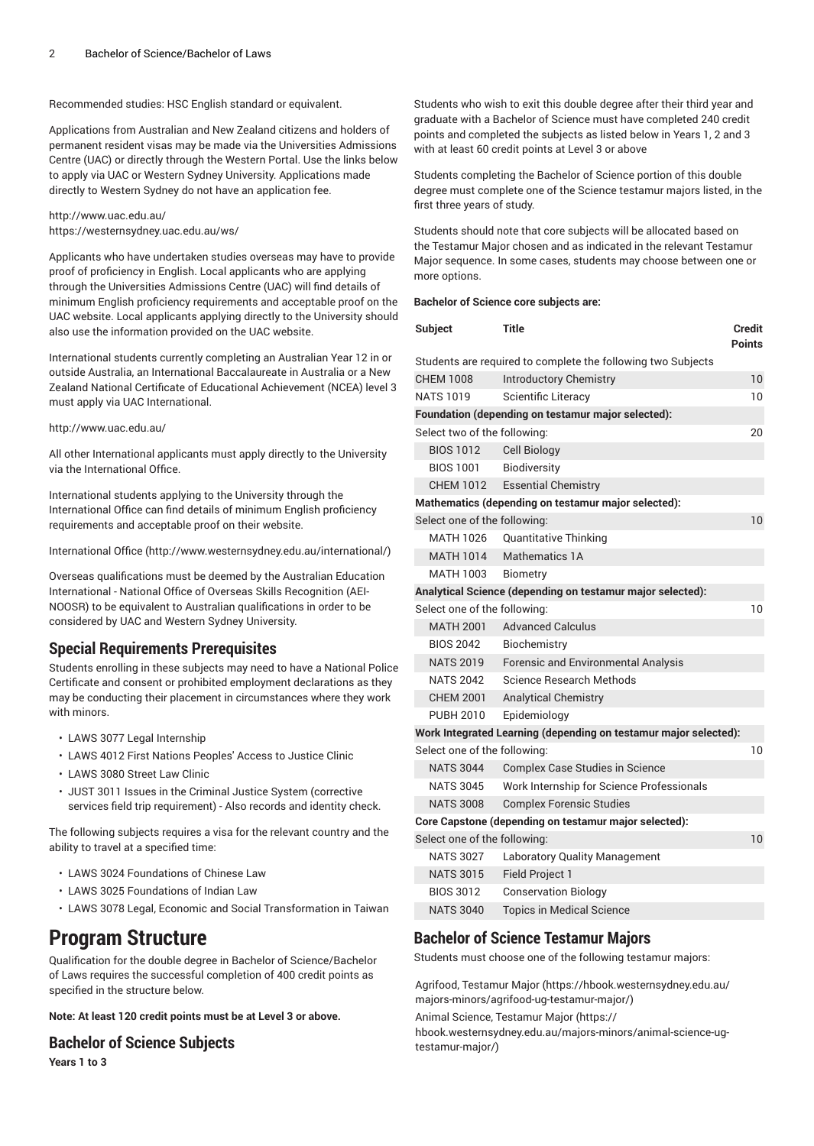Recommended studies: HSC English standard or equivalent.

Applications from Australian and New Zealand citizens and holders of permanent resident visas may be made via the Universities Admissions Centre (UAC) or directly through the Western Portal. Use the links below to apply via UAC or Western Sydney University. Applications made directly to Western Sydney do not have an application fee.

<http://www.uac.edu.au/> <https://westernsydney.uac.edu.au/ws/>

Applicants who have undertaken studies overseas may have to provide proof of proficiency in English. Local applicants who are applying through the Universities Admissions Centre (UAC) will find details of minimum English proficiency requirements and acceptable proof on the UAC website. Local applicants applying directly to the University should also use the information provided on the UAC website.

International students currently completing an Australian Year 12 in or outside Australia, an International Baccalaureate in Australia or a New Zealand National Certificate of Educational Achievement (NCEA) level 3 must apply via UAC International.

#### <http://www.uac.edu.au/>

All other International applicants must apply directly to the University via the International Office.

International students applying to the University through the International Office can find details of minimum English proficiency requirements and acceptable proof on their website.

[International Office \(http://www.westernsydney.edu.au/international/\)](http://www.westernsydney.edu.au/international/)

Overseas qualifications must be deemed by the Australian Education International - National Office of Overseas Skills Recognition (AEI-NOOSR) to be equivalent to Australian qualifications in order to be considered by UAC and Western Sydney University.

# **Special Requirements Prerequisites**

Students enrolling in these subjects may need to have a National Police Certificate and consent or prohibited employment declarations as they may be conducting their placement in circumstances where they work with minors.

- LAWS 3077 Legal Internship
- LAWS 4012 First Nations Peoples' Access to Justice Clinic
- LAWS 3080 Street Law Clinic
- JUST 3011 Issues in the Criminal Justice System (corrective services field trip requirement) - Also records and identity check.

The following subjects requires a visa for the relevant country and the ability to travel at a specified time:

- LAWS 3024 Foundations of Chinese Law
- LAWS 3025 Foundations of Indian Law
- LAWS 3078 Legal, Economic and Social Transformation in Taiwan

# **Program Structure**

Qualification for the double degree in Bachelor of Science/Bachelor of Laws requires the successful completion of 400 credit points as specified in the structure below.

**Note: At least 120 credit points must be at Level 3 or above.**

### **Bachelor of Science Subjects**

**Years 1 to 3**

Students who wish to exit this double degree after their third year and graduate with a Bachelor of Science must have completed 240 credit points and completed the subjects as listed below in Years 1, 2 and 3 with at least 60 credit points at Level 3 or above

Students completing the Bachelor of Science portion of this double degree must complete one of the Science testamur majors listed, in the first three years of study.

Students should note that core subjects will be allocated based on the Testamur Major chosen and as indicated in the relevant Testamur Major sequence. In some cases, students may choose between one or more options.

#### **Bachelor of Science core subjects are:**

| <b>Subject</b>               | <b>Title</b>                                                     | Credit<br><b>Points</b> |
|------------------------------|------------------------------------------------------------------|-------------------------|
|                              | Students are required to complete the following two Subjects     |                         |
| <b>CHEM 1008</b>             | <b>Introductory Chemistry</b>                                    | 10                      |
| <b>NATS 1019</b>             | Scientific Literacy                                              | 10                      |
|                              | Foundation (depending on testamur major selected):               |                         |
| Select two of the following: |                                                                  | 20                      |
| <b>BIOS 1012</b>             | <b>Cell Biology</b>                                              |                         |
| <b>BIOS 1001</b>             | Biodiversity                                                     |                         |
|                              | CHEM 1012 Essential Chemistry                                    |                         |
|                              | Mathematics (depending on testamur major selected):              |                         |
| Select one of the following: |                                                                  | 10                      |
| MATH 1026                    | <b>Quantitative Thinking</b>                                     |                         |
| MATH 1014                    | Mathematics 1A                                                   |                         |
| MATH 1003                    | <b>Biometry</b>                                                  |                         |
|                              | Analytical Science (depending on testamur major selected):       |                         |
| Select one of the following: |                                                                  | 10                      |
| <b>MATH 2001</b>             | <b>Advanced Calculus</b>                                         |                         |
| <b>BIOS 2042</b>             | Biochemistry                                                     |                         |
| <b>NATS 2019</b>             | <b>Forensic and Environmental Analysis</b>                       |                         |
| <b>NATS 2042</b>             | Science Research Methods                                         |                         |
| <b>CHEM 2001</b>             | <b>Analytical Chemistry</b>                                      |                         |
| <b>PUBH 2010</b>             | Epidemiology                                                     |                         |
|                              | Work Integrated Learning (depending on testamur major selected): |                         |
| Select one of the following: |                                                                  | 10                      |
| <b>NATS 3044</b>             | Complex Case Studies in Science                                  |                         |
| <b>NATS 3045</b>             | Work Internship for Science Professionals                        |                         |
| <b>NATS 3008</b>             | <b>Complex Forensic Studies</b>                                  |                         |
|                              | Core Capstone (depending on testamur major selected):            |                         |
| Select one of the following: |                                                                  | 10                      |
| <b>NATS 3027</b>             | Laboratory Quality Management                                    |                         |
| <b>NATS 3015</b>             | Field Project 1                                                  |                         |
| <b>BIOS 3012</b>             | <b>Conservation Biology</b>                                      |                         |
| <b>NATS 3040</b>             | Topics in Medical Science                                        |                         |

# **Bachelor of Science Testamur Majors**

Students must choose one of the following testamur majors:

Agrifood, [Testamur](https://hbook.westernsydney.edu.au/majors-minors/agrifood-ug-testamur-major/) Major [\(https://hbook.westernsydney.edu.au/](https://hbook.westernsydney.edu.au/majors-minors/agrifood-ug-testamur-major/) [majors-minors/agrifood-ug-testamur-major/\)](https://hbook.westernsydney.edu.au/majors-minors/agrifood-ug-testamur-major/)

Animal Science, [Testamur](https://hbook.westernsydney.edu.au/majors-minors/animal-science-ug-testamur-major/) Major ([https://](https://hbook.westernsydney.edu.au/majors-minors/animal-science-ug-testamur-major/) [hbook.westernsydney.edu.au/majors-minors/animal-science-ug](https://hbook.westernsydney.edu.au/majors-minors/animal-science-ug-testamur-major/)[testamur-major/](https://hbook.westernsydney.edu.au/majors-minors/animal-science-ug-testamur-major/))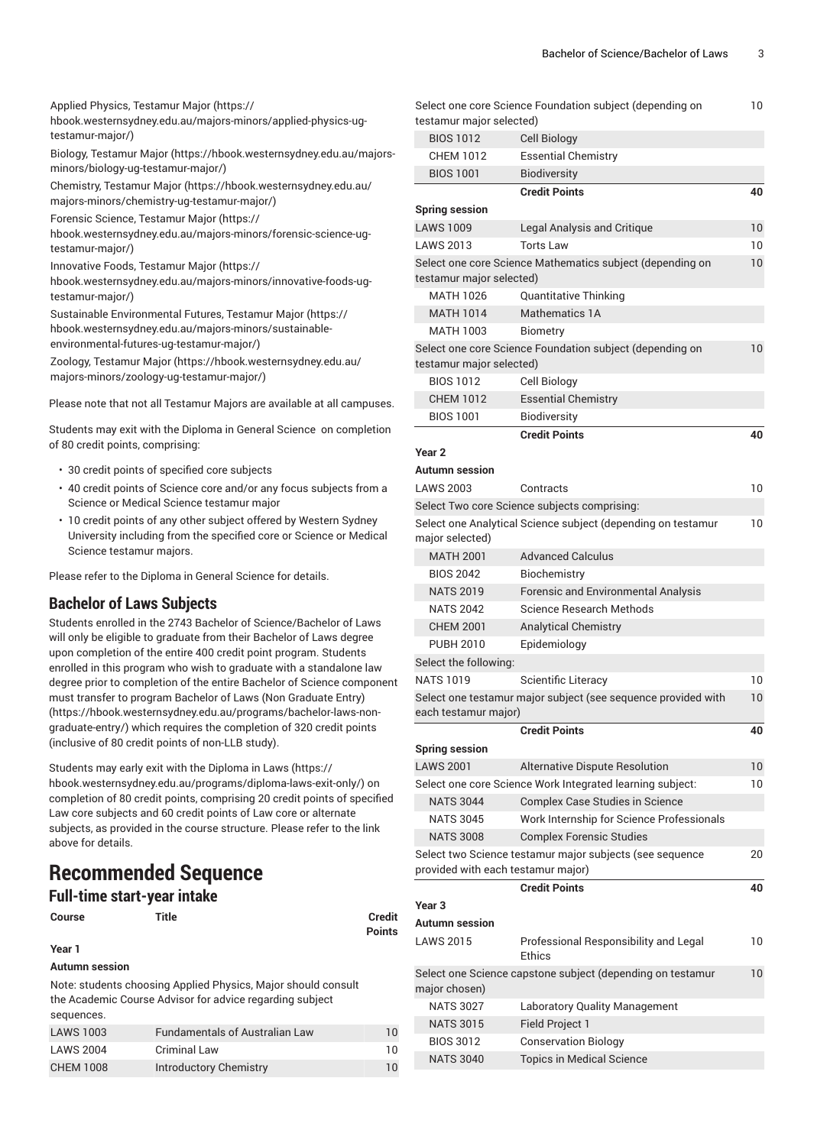Applied Physics, [Testamur](https://hbook.westernsydney.edu.au/majors-minors/applied-physics-ug-testamur-major/) Major [\(https://](https://hbook.westernsydney.edu.au/majors-minors/applied-physics-ug-testamur-major/)

[hbook.westernsydney.edu.au/majors-minors/applied-physics-ug](https://hbook.westernsydney.edu.au/majors-minors/applied-physics-ug-testamur-major/)[testamur-major/\)](https://hbook.westernsydney.edu.au/majors-minors/applied-physics-ug-testamur-major/)

Biology, [Testamur](https://hbook.westernsydney.edu.au/majors-minors/biology-ug-testamur-major/) Major [\(https://hbook.westernsydney.edu.au/majors](https://hbook.westernsydney.edu.au/majors-minors/biology-ug-testamur-major/)[minors/biology-ug-testamur-major/\)](https://hbook.westernsydney.edu.au/majors-minors/biology-ug-testamur-major/)

[Chemistry,](https://hbook.westernsydney.edu.au/majors-minors/chemistry-ug-testamur-major/) Testamur Major [\(https://hbook.westernsydney.edu.au/](https://hbook.westernsydney.edu.au/majors-minors/chemistry-ug-testamur-major/) [majors-minors/chemistry-ug-testamur-major/](https://hbook.westernsydney.edu.au/majors-minors/chemistry-ug-testamur-major/))

Forensic Science, [Testamur](https://hbook.westernsydney.edu.au/majors-minors/forensic-science-ug-testamur-major/) Major ([https://](https://hbook.westernsydney.edu.au/majors-minors/forensic-science-ug-testamur-major/)

[hbook.westernsydney.edu.au/majors-minors/forensic-science-ug](https://hbook.westernsydney.edu.au/majors-minors/forensic-science-ug-testamur-major/)[testamur-major/\)](https://hbook.westernsydney.edu.au/majors-minors/forensic-science-ug-testamur-major/)

[Innovative](https://hbook.westernsydney.edu.au/majors-minors/innovative-foods-ug-testamur-major/) Foods, Testamur Major ([https://](https://hbook.westernsydney.edu.au/majors-minors/innovative-foods-ug-testamur-major/)

[hbook.westernsydney.edu.au/majors-minors/innovative-foods-ug](https://hbook.westernsydney.edu.au/majors-minors/innovative-foods-ug-testamur-major/)[testamur-major/\)](https://hbook.westernsydney.edu.au/majors-minors/innovative-foods-ug-testamur-major/)

Sustainable [Environmental](https://hbook.westernsydney.edu.au/majors-minors/sustainable-environmental-futures-ug-testamur-major/) Futures, Testamur Major [\(https://](https://hbook.westernsydney.edu.au/majors-minors/sustainable-environmental-futures-ug-testamur-major/) [hbook.westernsydney.edu.au/majors-minors/sustainable](https://hbook.westernsydney.edu.au/majors-minors/sustainable-environmental-futures-ug-testamur-major/)[environmental-futures-ug-testamur-major/\)](https://hbook.westernsydney.edu.au/majors-minors/sustainable-environmental-futures-ug-testamur-major/)

Zoology, [Testamur](https://hbook.westernsydney.edu.au/majors-minors/zoology-ug-testamur-major/) Major [\(https://hbook.westernsydney.edu.au/](https://hbook.westernsydney.edu.au/majors-minors/zoology-ug-testamur-major/) [majors-minors/zoology-ug-testamur-major/\)](https://hbook.westernsydney.edu.au/majors-minors/zoology-ug-testamur-major/)

Please note that not all Testamur Majors are available at all campuses.

Students may exit with the Diploma in General Science on completion of 80 credit points, comprising:

- 30 credit points of specified core subjects
- 40 credit points of Science core and/or any focus subjects from a Science or Medical Science testamur major
- 10 credit points of any other subject offered by Western Sydney University including from the specified core or Science or Medical Science testamur majors.

Please refer to the Diploma in General Science for details.

### **Bachelor of Laws Subjects**

Students enrolled in the 2743 Bachelor of Science/Bachelor of Laws will only be eligible to graduate from their Bachelor of Laws degree upon completion of the entire 400 credit point program. Students enrolled in this program who wish to graduate with a standalone law degree prior to completion of the entire Bachelor of Science component must transfer to program Bachelor of Laws (Non [Graduate](https://hbook.westernsydney.edu.au/programs/bachelor-laws-non-graduate-entry/) Entry) ([https://hbook.westernsydney.edu.au/programs/bachelor-laws-non](https://hbook.westernsydney.edu.au/programs/bachelor-laws-non-graduate-entry/)[graduate-entry/\)](https://hbook.westernsydney.edu.au/programs/bachelor-laws-non-graduate-entry/) which requires the completion of 320 credit points (inclusive of 80 credit points of non-LLB study).

Students may early exit with the [Diploma in Laws](https://hbook.westernsydney.edu.au/programs/diploma-laws-exit-only/) ([https://](https://hbook.westernsydney.edu.au/programs/diploma-laws-exit-only/) [hbook.westernsydney.edu.au/programs/diploma-laws-exit-only/](https://hbook.westernsydney.edu.au/programs/diploma-laws-exit-only/)) on completion of 80 credit points, comprising 20 credit points of specified Law core subjects and 60 credit points of Law core or alternate subjects, as provided in the course structure. Please refer to the link above for details.

# **Recommended Sequence**

# **Full-time start-year intake**

```
Course Title Credit
```
**Points**

**Year 1**

**Autumn session**

Note: students choosing Applied Physics, Major should consult the Academic Course Advisor for advice regarding subject sequences.

| LAWS 1003        | <b>Fundamentals of Australian Law</b> | 10 |
|------------------|---------------------------------------|----|
| LAWS 2004        | <b>Criminal Law</b>                   | 10 |
| <b>CHEM 1008</b> | <b>Introductory Chemistry</b>         | 10 |

|                                    | Select one core Science Foundation subject (depending on      | 10 |
|------------------------------------|---------------------------------------------------------------|----|
| testamur major selected)           |                                                               |    |
| <b>BIOS 1012</b>                   | Cell Biology                                                  |    |
| <b>CHEM 1012</b>                   | <b>Essential Chemistry</b>                                    |    |
| <b>BIOS 1001</b>                   | <b>Biodiversity</b>                                           |    |
|                                    | <b>Credit Points</b>                                          | 40 |
| <b>Spring session</b>              |                                                               |    |
| <b>LAWS 1009</b>                   | Legal Analysis and Critique                                   | 10 |
| <b>LAWS 2013</b>                   | <b>Torts Law</b>                                              | 10 |
|                                    | Select one core Science Mathematics subject (depending on     | 10 |
| testamur major selected)           |                                                               |    |
| <b>MATH 1026</b>                   | Quantitative Thinking                                         |    |
| <b>MATH 1014</b>                   | Mathematics 1A                                                |    |
| <b>MATH 1003</b>                   | <b>Biometry</b>                                               | 10 |
| testamur major selected)           | Select one core Science Foundation subject (depending on      |    |
| <b>BIOS 1012</b>                   | Cell Biology                                                  |    |
| <b>CHEM 1012</b>                   | <b>Essential Chemistry</b>                                    |    |
| <b>BIOS 1001</b>                   | <b>Biodiversity</b>                                           |    |
|                                    | <b>Credit Points</b>                                          | 40 |
| Year <sub>2</sub>                  |                                                               |    |
| Autumn session                     |                                                               |    |
| LAWS 2003                          | Contracts                                                     | 10 |
|                                    | Select Two core Science subjects comprising:                  |    |
|                                    | Select one Analytical Science subject (depending on testamur  | 10 |
| major selected)                    |                                                               |    |
| <b>MATH 2001</b>                   | <b>Advanced Calculus</b>                                      |    |
| <b>BIOS 2042</b>                   | Biochemistry                                                  |    |
| <b>NATS 2019</b>                   | <b>Forensic and Environmental Analysis</b>                    |    |
| <b>NATS 2042</b>                   | <b>Science Research Methods</b>                               |    |
| <b>CHEM 2001</b>                   | <b>Analytical Chemistry</b>                                   |    |
| <b>PUBH 2010</b>                   | Epidemiology                                                  |    |
| Select the following:              |                                                               |    |
| NATS 1019                          | Scientific Literacy                                           | 10 |
| each testamur major)               | Select one testamur major subject (see sequence provided with | 10 |
|                                    | <b>Credit Points</b>                                          | 40 |
| <b>Spring session</b>              |                                                               |    |
| <b>LAWS 2001</b>                   | Alternative Dispute Resolution                                | 10 |
|                                    | Select one core Science Work Integrated learning subject:     | 10 |
| <b>NATS 3044</b>                   | <b>Complex Case Studies in Science</b>                        |    |
| <b>NATS 3045</b>                   | Work Internship for Science Professionals                     |    |
| <b>NATS 3008</b>                   | <b>Complex Forensic Studies</b>                               |    |
|                                    | Select two Science testamur major subjects (see sequence      | 20 |
| provided with each testamur major) |                                                               |    |
|                                    | <b>Credit Points</b>                                          | 40 |
| Year 3<br>Autumn session           |                                                               |    |
| <b>LAWS 2015</b>                   |                                                               |    |
|                                    | Professional Responsibility and Legal<br><b>Ethics</b>        | 10 |
|                                    | Select one Science capstone subject (depending on testamur    | 10 |
| major chosen)                      |                                                               |    |
| <b>NATS 3027</b>                   | Laboratory Quality Management                                 |    |
| <b>NATS 3015</b>                   | Field Project 1                                               |    |
| <b>BIOS 3012</b>                   | <b>Conservation Biology</b>                                   |    |
| <b>NATS 3040</b>                   | <b>Topics in Medical Science</b>                              |    |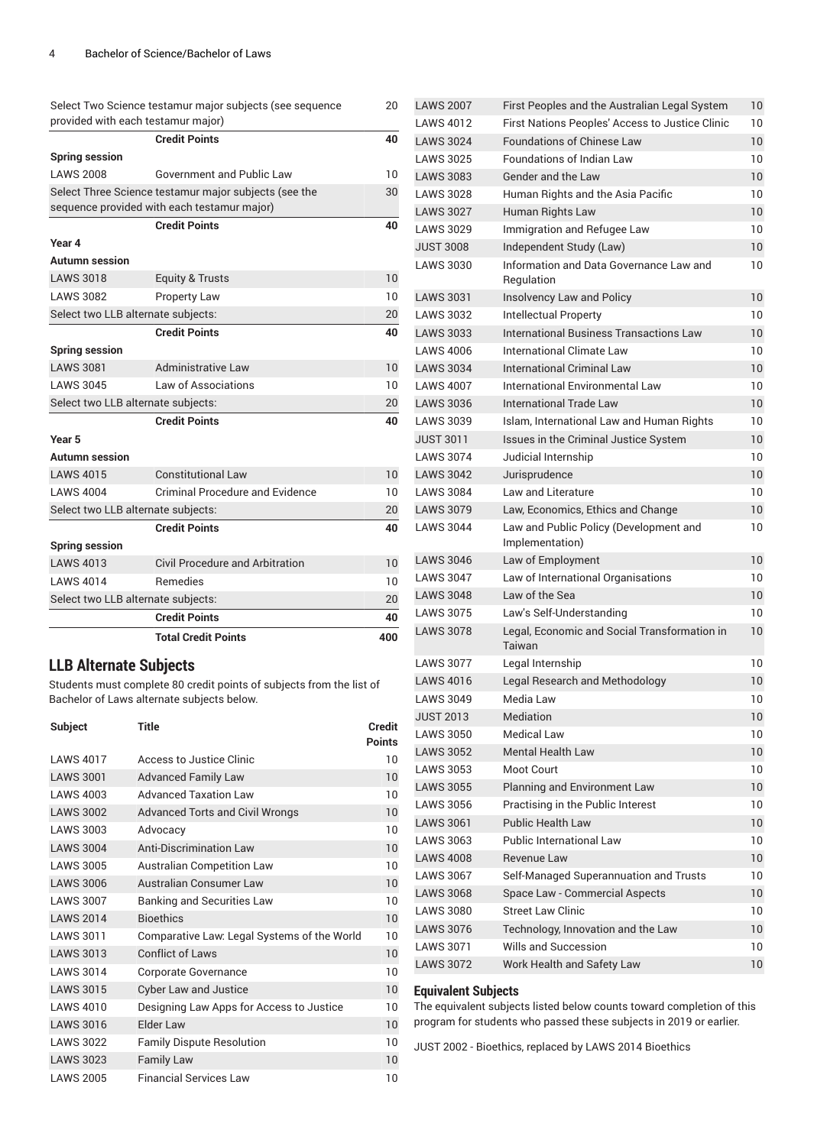|                                    | Select Two Science testamur major subjects (see sequence                                             | 20  |
|------------------------------------|------------------------------------------------------------------------------------------------------|-----|
|                                    | provided with each testamur major)                                                                   |     |
|                                    | <b>Credit Points</b>                                                                                 | 40  |
| <b>Spring session</b>              |                                                                                                      |     |
| <b>LAWS 2008</b>                   | Government and Public Law                                                                            | 10  |
|                                    | Select Three Science testamur major subjects (see the<br>sequence provided with each testamur major) | 30  |
|                                    | <b>Credit Points</b>                                                                                 | 40  |
| Year 4                             |                                                                                                      |     |
| <b>Autumn session</b>              |                                                                                                      |     |
| <b>LAWS 3018</b>                   | Equity & Trusts                                                                                      | 10  |
| <b>LAWS 3082</b>                   | <b>Property Law</b>                                                                                  | 10  |
| Select two LLB alternate subjects: |                                                                                                      | 20  |
|                                    | <b>Credit Points</b>                                                                                 | 40  |
| <b>Spring session</b>              |                                                                                                      |     |
| <b>LAWS 3081</b>                   | Administrative Law                                                                                   | 10  |
| <b>LAWS 3045</b>                   | Law of Associations                                                                                  | 10  |
| Select two LLB alternate subjects: |                                                                                                      | 20  |
|                                    | <b>Credit Points</b>                                                                                 | 40  |
| Year 5                             |                                                                                                      |     |
| Autumn session                     |                                                                                                      |     |
| <b>LAWS 4015</b>                   | <b>Constitutional Law</b>                                                                            | 10  |
| <b>LAWS 4004</b>                   | <b>Criminal Procedure and Evidence</b>                                                               | 10  |
| Select two LLB alternate subjects: |                                                                                                      | 20  |
|                                    | <b>Credit Points</b>                                                                                 | 40  |
| <b>Spring session</b>              |                                                                                                      |     |
| <b>LAWS 4013</b>                   | Civil Procedure and Arbitration                                                                      | 10  |
| <b>LAWS 4014</b>                   | Remedies                                                                                             | 10  |
| Select two LLB alternate subjects: |                                                                                                      | 20  |
|                                    | <b>Credit Points</b>                                                                                 | 40  |
|                                    | <b>Total Credit Points</b>                                                                           | 400 |

### **LLB Alternate Subjects**

Students must complete 80 credit points of subjects from the list of Bachelor of Laws alternate subjects below.

| Subject          | Title                                       | Credit<br><b>Points</b> |
|------------------|---------------------------------------------|-------------------------|
| <b>LAWS 4017</b> | Access to Justice Clinic                    | 10                      |
| <b>LAWS 3001</b> | <b>Advanced Family Law</b>                  | 10                      |
| <b>LAWS 4003</b> | <b>Advanced Taxation Law</b>                | 10                      |
| <b>LAWS 3002</b> | <b>Advanced Torts and Civil Wrongs</b>      | 10                      |
| <b>LAWS 3003</b> | Advocacy                                    | 10                      |
| <b>LAWS 3004</b> | <b>Anti-Discrimination Law</b>              | 10                      |
| <b>LAWS 3005</b> | <b>Australian Competition Law</b>           | 10                      |
| <b>LAWS 3006</b> | <b>Australian Consumer Law</b>              | 10                      |
| <b>LAWS 3007</b> | Banking and Securities Law                  | 10                      |
| <b>LAWS 2014</b> | <b>Bioethics</b>                            | 10                      |
| <b>LAWS 3011</b> | Comparative Law: Legal Systems of the World | 10                      |
| <b>LAWS 3013</b> | <b>Conflict of Laws</b>                     | 10                      |
| <b>LAWS 3014</b> | Corporate Governance                        | 10                      |
| <b>LAWS 3015</b> | <b>Cyber Law and Justice</b>                | 10                      |
| <b>LAWS 4010</b> | Designing Law Apps for Access to Justice    | 10                      |
| <b>LAWS 3016</b> | Elder Law                                   | 10                      |
| <b>LAWS 3022</b> | <b>Family Dispute Resolution</b>            | 10                      |
| <b>LAWS 3023</b> | <b>Family Law</b>                           | 10                      |
| <b>LAWS 2005</b> | <b>Financial Services Law</b>               | 10                      |

| <b>LAWS 2007</b> | First Peoples and the Australian Legal System          | 10 |
|------------------|--------------------------------------------------------|----|
| <b>LAWS 4012</b> | First Nations Peoples' Access to Justice Clinic        | 10 |
| <b>LAWS 3024</b> | <b>Foundations of Chinese Law</b>                      | 10 |
| <b>LAWS 3025</b> | <b>Foundations of Indian Law</b>                       | 10 |
| <b>LAWS 3083</b> | Gender and the Law                                     | 10 |
| <b>LAWS 3028</b> | Human Rights and the Asia Pacific                      | 10 |
| <b>LAWS 3027</b> | Human Rights Law                                       | 10 |
| <b>LAWS 3029</b> | Immigration and Refugee Law                            | 10 |
| <b>JUST 3008</b> | Independent Study (Law)                                | 10 |
| <b>LAWS 3030</b> | Information and Data Governance Law and<br>Regulation  | 10 |
| <b>LAWS 3031</b> | Insolvency Law and Policy                              | 10 |
| <b>LAWS 3032</b> | Intellectual Property                                  | 10 |
| <b>LAWS 3033</b> | International Business Transactions Law                | 10 |
| <b>LAWS 4006</b> | International Climate Law                              | 10 |
| <b>LAWS 3034</b> | <b>International Criminal Law</b>                      | 10 |
| <b>LAWS 4007</b> | International Environmental Law                        | 10 |
| <b>LAWS 3036</b> | <b>International Trade Law</b>                         | 10 |
| <b>LAWS 3039</b> | Islam, International Law and Human Rights              | 10 |
| <b>JUST 3011</b> | Issues in the Criminal Justice System                  | 10 |
| <b>LAWS 3074</b> | Judicial Internship                                    | 10 |
| <b>LAWS 3042</b> | Jurisprudence                                          | 10 |
| <b>LAWS 3084</b> | Law and Literature                                     | 10 |
| <b>LAWS 3079</b> | Law, Economics, Ethics and Change                      | 10 |
| <b>LAWS 3044</b> | Law and Public Policy (Development and                 | 10 |
|                  | Implementation)                                        |    |
| <b>LAWS 3046</b> | Law of Employment                                      | 10 |
| <b>LAWS 3047</b> | Law of International Organisations                     | 10 |
| <b>LAWS 3048</b> | Law of the Sea                                         | 10 |
| <b>LAWS 3075</b> | Law's Self-Understanding                               | 10 |
| <b>LAWS 3078</b> | Legal, Economic and Social Transformation in<br>Taiwan | 10 |
| <b>LAWS 3077</b> | Legal Internship                                       | 10 |
| <b>LAWS 4016</b> | Legal Research and Methodology                         | 10 |
| <b>LAWS 3049</b> | Media Law                                              | 10 |
| <b>JUST 2013</b> | Mediation                                              | 10 |
| <b>LAWS 3050</b> | <b>Medical Law</b>                                     | 10 |
| <b>LAWS 3052</b> | <b>Mental Health Law</b>                               | 10 |
| <b>LAWS 3053</b> | Moot Court                                             | 10 |
| <b>LAWS 3055</b> | Planning and Environment Law                           | 10 |
| <b>LAWS 3056</b> | Practising in the Public Interest                      | 10 |
| <b>LAWS 3061</b> | <b>Public Health Law</b>                               | 10 |
| <b>LAWS 3063</b> | <b>Public International Law</b>                        | 10 |
| <b>LAWS 4008</b> | Revenue Law                                            | 10 |
| <b>LAWS 3067</b> | Self-Managed Superannuation and Trusts                 | 10 |
| <b>LAWS 3068</b> | Space Law - Commercial Aspects                         | 10 |
| <b>LAWS 3080</b> | <b>Street Law Clinic</b>                               | 10 |
| <b>LAWS 3076</b> | Technology, Innovation and the Law                     | 10 |
| <b>LAWS 3071</b> | Wills and Succession                                   | 10 |
| <b>LAWS 3072</b> | Work Health and Safety Law                             | 10 |

### **Equivalent Subjects**

The equivalent subjects listed below counts toward completion of this program for students who passed these subjects in 2019 or earlier.

JUST 2002 - Bioethics, replaced by LAWS 2014 Bioethics